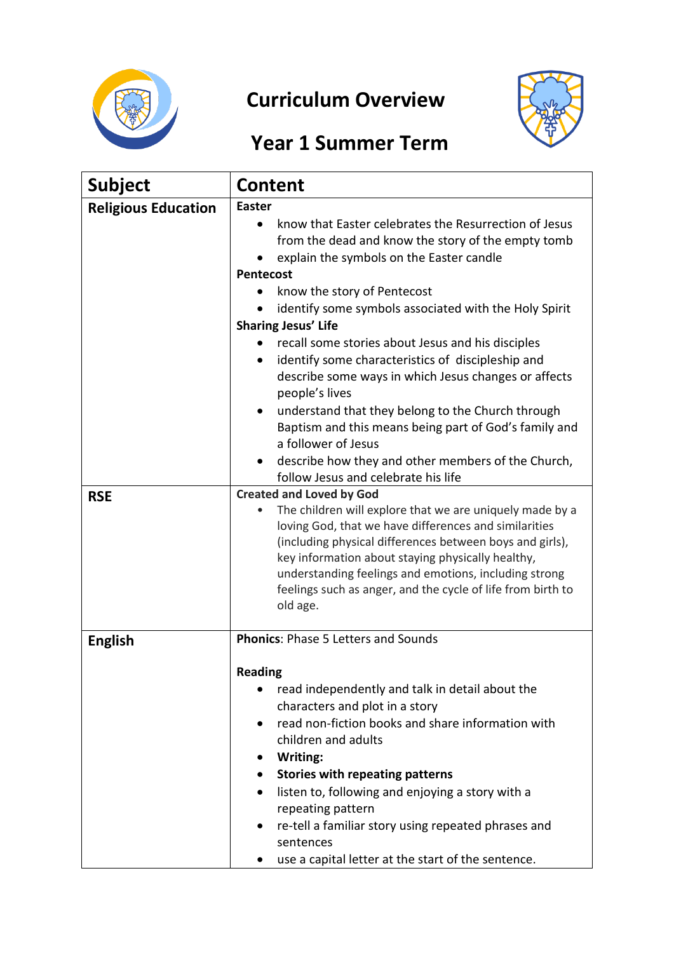

## **Curriculum Overview**



## **Year 1 Summer Term**

| <b>Subject</b>                           | <b>Content</b>                                                                                                                                                                                                                                                                                                                                                                                                                                                                                                                                                                                                                                                                                                                                                                                                                                                                                                                                                                                                                                                                                                                                                                        |
|------------------------------------------|---------------------------------------------------------------------------------------------------------------------------------------------------------------------------------------------------------------------------------------------------------------------------------------------------------------------------------------------------------------------------------------------------------------------------------------------------------------------------------------------------------------------------------------------------------------------------------------------------------------------------------------------------------------------------------------------------------------------------------------------------------------------------------------------------------------------------------------------------------------------------------------------------------------------------------------------------------------------------------------------------------------------------------------------------------------------------------------------------------------------------------------------------------------------------------------|
| <b>Religious Education</b><br><b>RSE</b> | <b>Easter</b><br>know that Easter celebrates the Resurrection of Jesus<br>from the dead and know the story of the empty tomb<br>explain the symbols on the Easter candle<br><b>Pentecost</b><br>know the story of Pentecost<br>identify some symbols associated with the Holy Spirit<br><b>Sharing Jesus' Life</b><br>recall some stories about Jesus and his disciples<br>identify some characteristics of discipleship and<br>$\bullet$<br>describe some ways in which Jesus changes or affects<br>people's lives<br>understand that they belong to the Church through<br>$\bullet$<br>Baptism and this means being part of God's family and<br>a follower of Jesus<br>describe how they and other members of the Church,<br>٠<br>follow Jesus and celebrate his life<br><b>Created and Loved by God</b><br>The children will explore that we are uniquely made by a<br>$\bullet$<br>loving God, that we have differences and similarities<br>(including physical differences between boys and girls),<br>key information about staying physically healthy,<br>understanding feelings and emotions, including strong<br>feelings such as anger, and the cycle of life from birth to |
| <b>English</b>                           | old age.<br><b>Phonics: Phase 5 Letters and Sounds</b>                                                                                                                                                                                                                                                                                                                                                                                                                                                                                                                                                                                                                                                                                                                                                                                                                                                                                                                                                                                                                                                                                                                                |
|                                          | <b>Reading</b><br>read independently and talk in detail about the<br>characters and plot in a story<br>read non-fiction books and share information with<br>٠<br>children and adults<br>Writing:<br>٠<br><b>Stories with repeating patterns</b><br>$\bullet$<br>listen to, following and enjoying a story with a<br>$\bullet$<br>repeating pattern<br>re-tell a familiar story using repeated phrases and<br>٠<br>sentences<br>use a capital letter at the start of the sentence.                                                                                                                                                                                                                                                                                                                                                                                                                                                                                                                                                                                                                                                                                                     |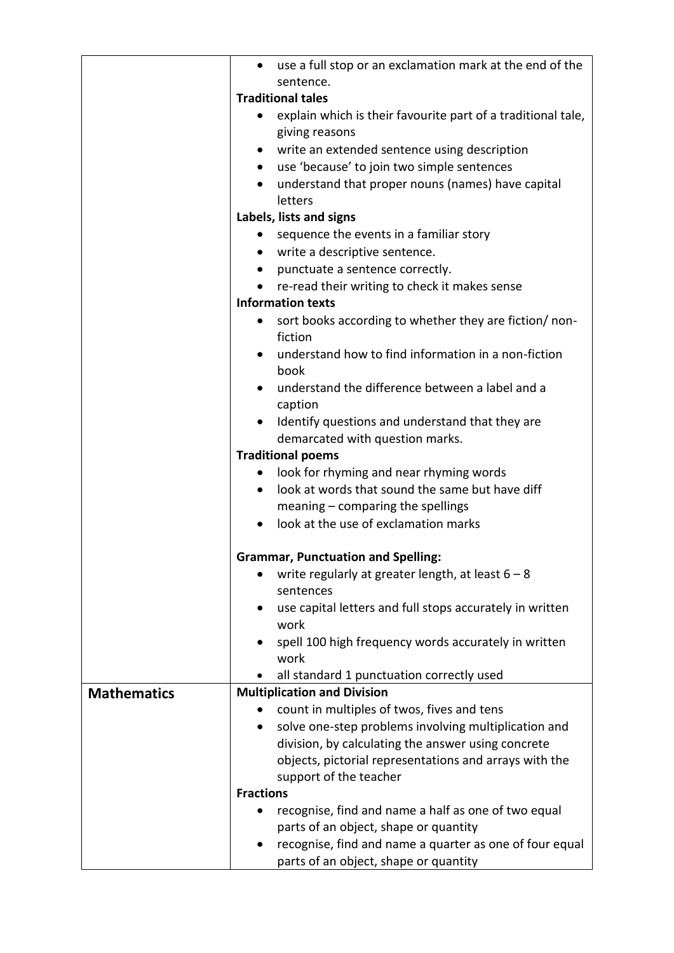|                    | use a full stop or an exclamation mark at the end of the<br>$\bullet$ |
|--------------------|-----------------------------------------------------------------------|
|                    | sentence.                                                             |
|                    | <b>Traditional tales</b>                                              |
|                    | explain which is their favourite part of a traditional tale,          |
|                    | giving reasons                                                        |
|                    | write an extended sentence using description                          |
|                    | use 'because' to join two simple sentences<br>$\bullet$               |
|                    | understand that proper nouns (names) have capital<br>٠                |
|                    | letters                                                               |
|                    | Labels, lists and signs                                               |
|                    | sequence the events in a familiar story                               |
|                    | write a descriptive sentence.<br>$\bullet$                            |
|                    | punctuate a sentence correctly.<br>$\bullet$                          |
|                    | re-read their writing to check it makes sense<br>$\bullet$            |
|                    | <b>Information texts</b>                                              |
|                    | sort books according to whether they are fiction/ non-<br>٠           |
|                    | fiction                                                               |
|                    | understand how to find information in a non-fiction<br>٠              |
|                    | book                                                                  |
|                    | understand the difference between a label and a                       |
|                    | caption                                                               |
|                    | Identify questions and understand that they are                       |
|                    | demarcated with question marks.                                       |
|                    | <b>Traditional poems</b>                                              |
|                    | look for rhyming and near rhyming words<br>$\bullet$                  |
|                    | look at words that sound the same but have diff<br>$\bullet$          |
|                    | meaning $-$ comparing the spellings                                   |
|                    | look at the use of exclamation marks<br>$\bullet$                     |
|                    |                                                                       |
|                    | <b>Grammar, Punctuation and Spelling:</b>                             |
|                    | write regularly at greater length, at least $6 - 8$                   |
|                    | sentences                                                             |
|                    | use capital letters and full stops accurately in written              |
|                    | work                                                                  |
|                    | spell 100 high frequency words accurately in written                  |
|                    | work                                                                  |
|                    | all standard 1 punctuation correctly used                             |
| <b>Mathematics</b> | <b>Multiplication and Division</b>                                    |
|                    | count in multiples of twos, fives and tens                            |
|                    | solve one-step problems involving multiplication and                  |
|                    | division, by calculating the answer using concrete                    |
|                    | objects, pictorial representations and arrays with the                |
|                    | support of the teacher                                                |
|                    | <b>Fractions</b>                                                      |
|                    | recognise, find and name a half as one of two equal                   |
|                    | parts of an object, shape or quantity                                 |
|                    | recognise, find and name a quarter as one of four equal               |
|                    | parts of an object, shape or quantity                                 |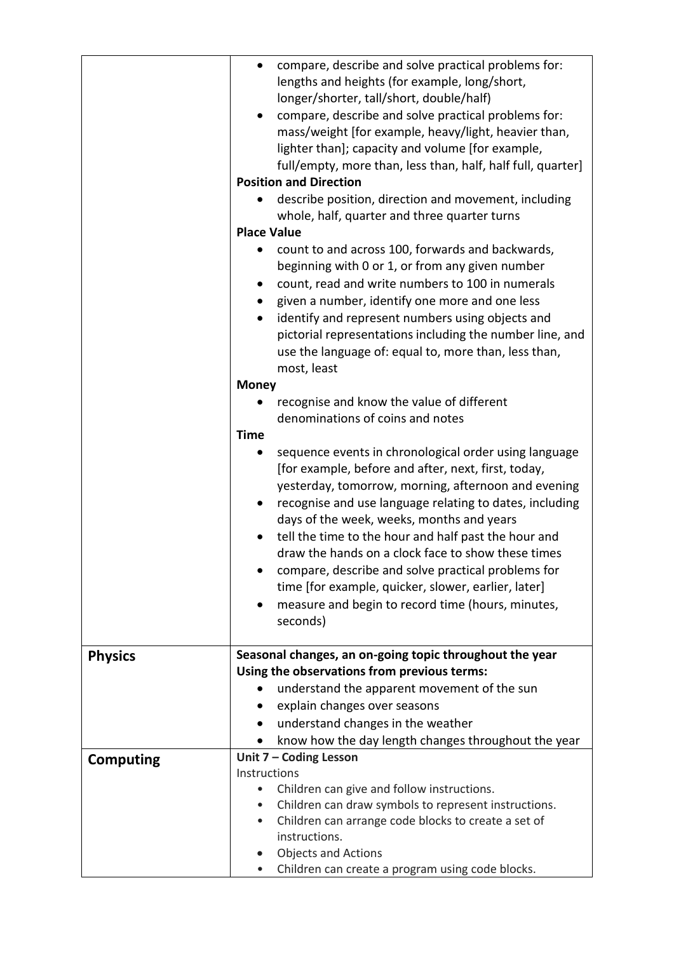|                  | compare, describe and solve practical problems for:<br>$\bullet$<br>lengths and heights (for example, long/short,<br>longer/shorter, tall/short, double/half)<br>compare, describe and solve practical problems for:<br>mass/weight [for example, heavy/light, heavier than,<br>lighter than]; capacity and volume [for example,<br>full/empty, more than, less than, half, half full, quarter]<br><b>Position and Direction</b><br>describe position, direction and movement, including<br>whole, half, quarter and three quarter turns<br><b>Place Value</b><br>count to and across 100, forwards and backwards,<br>beginning with 0 or 1, or from any given number<br>count, read and write numbers to 100 in numerals<br>$\bullet$<br>given a number, identify one more and one less<br>identify and represent numbers using objects and<br>pictorial representations including the number line, and<br>use the language of: equal to, more than, less than,<br>most, least<br><b>Money</b><br>recognise and know the value of different<br>denominations of coins and notes<br><b>Time</b><br>sequence events in chronological order using language<br>[for example, before and after, next, first, today,<br>yesterday, tomorrow, morning, afternoon and evening<br>recognise and use language relating to dates, including<br>days of the week, weeks, months and years<br>tell the time to the hour and half past the hour and |
|------------------|----------------------------------------------------------------------------------------------------------------------------------------------------------------------------------------------------------------------------------------------------------------------------------------------------------------------------------------------------------------------------------------------------------------------------------------------------------------------------------------------------------------------------------------------------------------------------------------------------------------------------------------------------------------------------------------------------------------------------------------------------------------------------------------------------------------------------------------------------------------------------------------------------------------------------------------------------------------------------------------------------------------------------------------------------------------------------------------------------------------------------------------------------------------------------------------------------------------------------------------------------------------------------------------------------------------------------------------------------------------------------------------------------------------------------------------|
|                  | draw the hands on a clock face to show these times<br>compare, describe and solve practical problems for<br>time [for example, quicker, slower, earlier, later]                                                                                                                                                                                                                                                                                                                                                                                                                                                                                                                                                                                                                                                                                                                                                                                                                                                                                                                                                                                                                                                                                                                                                                                                                                                                        |
|                  | measure and begin to record time (hours, minutes,<br>seconds)                                                                                                                                                                                                                                                                                                                                                                                                                                                                                                                                                                                                                                                                                                                                                                                                                                                                                                                                                                                                                                                                                                                                                                                                                                                                                                                                                                          |
| <b>Physics</b>   | Seasonal changes, an on-going topic throughout the year<br>Using the observations from previous terms:<br>understand the apparent movement of the sun<br>$\bullet$<br>explain changes over seasons<br>$\bullet$<br>understand changes in the weather<br>$\bullet$<br>know how the day length changes throughout the year                                                                                                                                                                                                                                                                                                                                                                                                                                                                                                                                                                                                                                                                                                                                                                                                                                                                                                                                                                                                                                                                                                               |
| <b>Computing</b> | Unit 7 - Coding Lesson                                                                                                                                                                                                                                                                                                                                                                                                                                                                                                                                                                                                                                                                                                                                                                                                                                                                                                                                                                                                                                                                                                                                                                                                                                                                                                                                                                                                                 |
|                  | Instructions                                                                                                                                                                                                                                                                                                                                                                                                                                                                                                                                                                                                                                                                                                                                                                                                                                                                                                                                                                                                                                                                                                                                                                                                                                                                                                                                                                                                                           |
|                  | Children can give and follow instructions.<br>Children can draw symbols to represent instructions.<br>$\bullet$                                                                                                                                                                                                                                                                                                                                                                                                                                                                                                                                                                                                                                                                                                                                                                                                                                                                                                                                                                                                                                                                                                                                                                                                                                                                                                                        |
|                  | Children can arrange code blocks to create a set of<br>$\bullet$                                                                                                                                                                                                                                                                                                                                                                                                                                                                                                                                                                                                                                                                                                                                                                                                                                                                                                                                                                                                                                                                                                                                                                                                                                                                                                                                                                       |
|                  | instructions.                                                                                                                                                                                                                                                                                                                                                                                                                                                                                                                                                                                                                                                                                                                                                                                                                                                                                                                                                                                                                                                                                                                                                                                                                                                                                                                                                                                                                          |
|                  | Objects and Actions<br>$\bullet$                                                                                                                                                                                                                                                                                                                                                                                                                                                                                                                                                                                                                                                                                                                                                                                                                                                                                                                                                                                                                                                                                                                                                                                                                                                                                                                                                                                                       |
|                  | Children can create a program using code blocks.                                                                                                                                                                                                                                                                                                                                                                                                                                                                                                                                                                                                                                                                                                                                                                                                                                                                                                                                                                                                                                                                                                                                                                                                                                                                                                                                                                                       |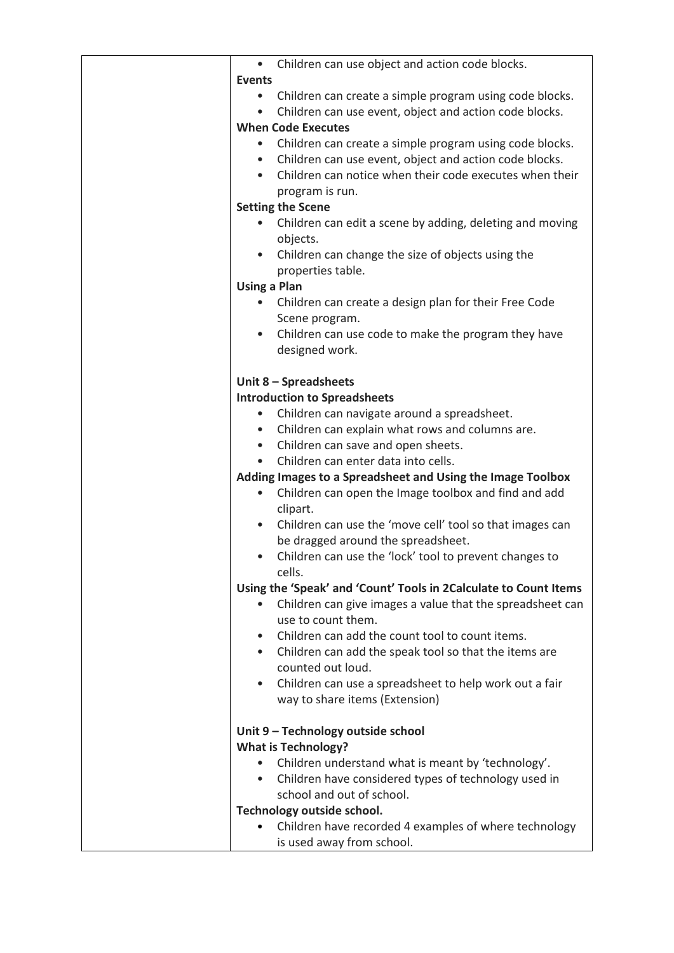|               | Children can use object and action code blocks.<br>$\bullet$                                        |
|---------------|-----------------------------------------------------------------------------------------------------|
| <b>Events</b> |                                                                                                     |
|               | Children can create a simple program using code blocks.<br>$\bullet$                                |
|               | Children can use event, object and action code blocks.<br>$\bullet$                                 |
|               | <b>When Code Executes</b>                                                                           |
|               | Children can create a simple program using code blocks.                                             |
|               | Children can use event, object and action code blocks.<br>$\bullet$                                 |
|               | Children can notice when their code executes when their                                             |
|               | program is run.                                                                                     |
|               | <b>Setting the Scene</b>                                                                            |
|               | Children can edit a scene by adding, deleting and moving                                            |
|               | objects.                                                                                            |
|               | Children can change the size of objects using the<br>$\bullet$                                      |
|               | properties table.                                                                                   |
|               | <b>Using a Plan</b>                                                                                 |
|               | Children can create a design plan for their Free Code                                               |
|               | Scene program.                                                                                      |
|               | Children can use code to make the program they have<br>$\bullet$                                    |
|               | designed work.                                                                                      |
|               |                                                                                                     |
|               | Unit 8 - Spreadsheets                                                                               |
|               | <b>Introduction to Spreadsheets</b>                                                                 |
|               | Children can navigate around a spreadsheet.                                                         |
|               | Children can explain what rows and columns are.<br>$\bullet$                                        |
|               | Children can save and open sheets.<br>$\bullet$<br>Children can enter data into cells.<br>$\bullet$ |
|               | Adding Images to a Spreadsheet and Using the Image Toolbox                                          |
|               | Children can open the Image toolbox and find and add                                                |
|               | clipart.                                                                                            |
|               | Children can use the 'move cell' tool so that images can<br>$\bullet$                               |
|               | be dragged around the spreadsheet.                                                                  |
|               | Children can use the 'lock' tool to prevent changes to                                              |
|               | cells.                                                                                              |
|               | Using the 'Speak' and 'Count' Tools in 2Calculate to Count Items                                    |
|               | Children can give images a value that the spreadsheet can                                           |
|               | use to count them.                                                                                  |
|               | Children can add the count tool to count items.                                                     |
|               | Children can add the speak tool so that the items are<br>$\bullet$                                  |
|               | counted out loud.                                                                                   |
|               | Children can use a spreadsheet to help work out a fair                                              |
|               | way to share items (Extension)                                                                      |
|               |                                                                                                     |
|               | Unit 9 - Technology outside school                                                                  |
|               | <b>What is Technology?</b>                                                                          |
|               | Children understand what is meant by 'technology'.                                                  |
|               | Children have considered types of technology used in<br>$\bullet$                                   |
|               | school and out of school.                                                                           |
|               | Technology outside school.                                                                          |
|               | Children have recorded 4 examples of where technology                                               |
|               | is used away from school.                                                                           |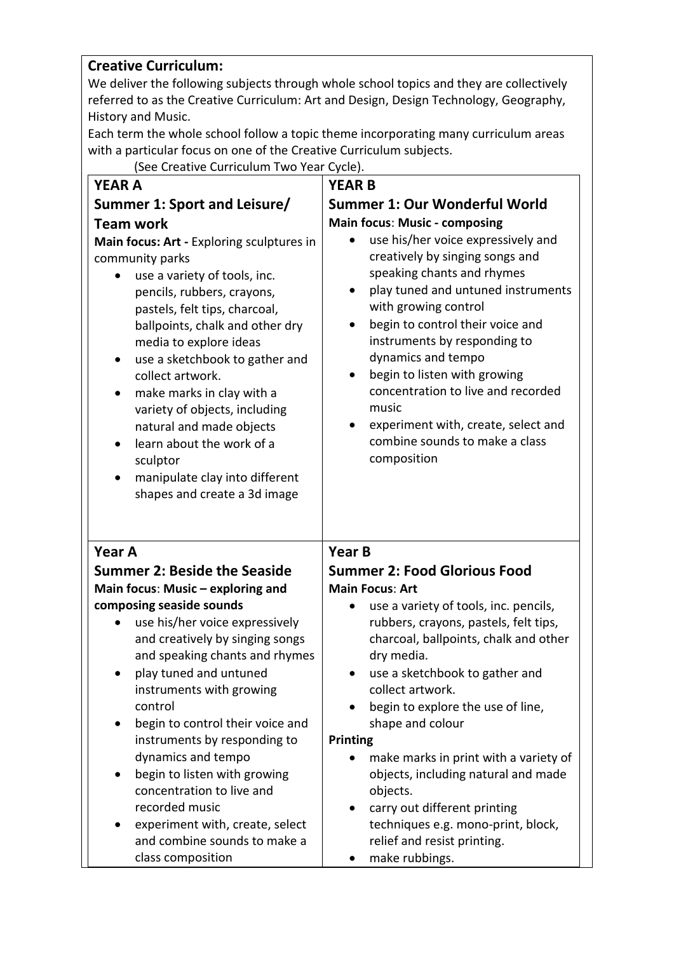## **Creative Curriculum:**

We deliver the following subjects through whole school topics and they are collectively referred to as the Creative Curriculum: Art and Design, Design Technology, Geography, History and Music.

Each term the whole school follow a topic theme incorporating many curriculum areas with a particular focus on one of the Creative Curriculum subjects.

(See Creative Curriculum Two Year Cycle).

| <b>YEAR A</b>                                                                                                                                                                                                                                                                                                                                                                                                                                                                                                | <b>YEAR B</b>                                                                                                                                                                                                                                                                                                                                                                                                                                                                                |
|--------------------------------------------------------------------------------------------------------------------------------------------------------------------------------------------------------------------------------------------------------------------------------------------------------------------------------------------------------------------------------------------------------------------------------------------------------------------------------------------------------------|----------------------------------------------------------------------------------------------------------------------------------------------------------------------------------------------------------------------------------------------------------------------------------------------------------------------------------------------------------------------------------------------------------------------------------------------------------------------------------------------|
| Summer 1: Sport and Leisure/                                                                                                                                                                                                                                                                                                                                                                                                                                                                                 | <b>Summer 1: Our Wonderful World</b>                                                                                                                                                                                                                                                                                                                                                                                                                                                         |
| <b>Team work</b><br>Main focus: Art - Exploring sculptures in<br>community parks<br>use a variety of tools, inc.<br>pencils, rubbers, crayons,<br>pastels, felt tips, charcoal,<br>ballpoints, chalk and other dry<br>media to explore ideas<br>use a sketchbook to gather and<br>collect artwork.<br>make marks in clay with a<br>variety of objects, including<br>natural and made objects<br>learn about the work of a<br>sculptor<br>manipulate clay into different<br>٠<br>shapes and create a 3d image | <b>Main focus: Music - composing</b><br>use his/her voice expressively and<br>creatively by singing songs and<br>speaking chants and rhymes<br>play tuned and untuned instruments<br>with growing control<br>begin to control their voice and<br>instruments by responding to<br>dynamics and tempo<br>begin to listen with growing<br>$\bullet$<br>concentration to live and recorded<br>music<br>experiment with, create, select and<br>٠<br>combine sounds to make a class<br>composition |
| <b>Year A</b>                                                                                                                                                                                                                                                                                                                                                                                                                                                                                                | <b>Year B</b>                                                                                                                                                                                                                                                                                                                                                                                                                                                                                |
| <b>Summer 2: Beside the Seaside</b>                                                                                                                                                                                                                                                                                                                                                                                                                                                                          | <b>Summer 2: Food Glorious Food</b>                                                                                                                                                                                                                                                                                                                                                                                                                                                          |
| Main focus: Music - exploring and                                                                                                                                                                                                                                                                                                                                                                                                                                                                            | <b>Main Focus: Art</b>                                                                                                                                                                                                                                                                                                                                                                                                                                                                       |
| composing seaside sounds                                                                                                                                                                                                                                                                                                                                                                                                                                                                                     | use a variety of tools, inc. pencils,<br>$\bullet$                                                                                                                                                                                                                                                                                                                                                                                                                                           |
| use his/her voice expressively<br>and creatively by singing songs                                                                                                                                                                                                                                                                                                                                                                                                                                            | rubbers, crayons, pastels, felt tips,<br>charcoal, ballpoints, chalk and other                                                                                                                                                                                                                                                                                                                                                                                                               |
| and speaking chants and rhymes                                                                                                                                                                                                                                                                                                                                                                                                                                                                               | dry media.                                                                                                                                                                                                                                                                                                                                                                                                                                                                                   |
| play tuned and untuned                                                                                                                                                                                                                                                                                                                                                                                                                                                                                       | use a sketchbook to gather and                                                                                                                                                                                                                                                                                                                                                                                                                                                               |
| instruments with growing                                                                                                                                                                                                                                                                                                                                                                                                                                                                                     | collect artwork.                                                                                                                                                                                                                                                                                                                                                                                                                                                                             |
| control                                                                                                                                                                                                                                                                                                                                                                                                                                                                                                      | begin to explore the use of line,                                                                                                                                                                                                                                                                                                                                                                                                                                                            |
| begin to control their voice and                                                                                                                                                                                                                                                                                                                                                                                                                                                                             | shape and colour                                                                                                                                                                                                                                                                                                                                                                                                                                                                             |
| instruments by responding to<br>dynamics and tempo                                                                                                                                                                                                                                                                                                                                                                                                                                                           | <b>Printing</b>                                                                                                                                                                                                                                                                                                                                                                                                                                                                              |
| begin to listen with growing                                                                                                                                                                                                                                                                                                                                                                                                                                                                                 | make marks in print with a variety of<br>objects, including natural and made                                                                                                                                                                                                                                                                                                                                                                                                                 |
| concentration to live and                                                                                                                                                                                                                                                                                                                                                                                                                                                                                    | objects.                                                                                                                                                                                                                                                                                                                                                                                                                                                                                     |
| recorded music                                                                                                                                                                                                                                                                                                                                                                                                                                                                                               | carry out different printing                                                                                                                                                                                                                                                                                                                                                                                                                                                                 |
| experiment with, create, select                                                                                                                                                                                                                                                                                                                                                                                                                                                                              |                                                                                                                                                                                                                                                                                                                                                                                                                                                                                              |
|                                                                                                                                                                                                                                                                                                                                                                                                                                                                                                              | techniques e.g. mono-print, block,                                                                                                                                                                                                                                                                                                                                                                                                                                                           |
| and combine sounds to make a<br>class composition                                                                                                                                                                                                                                                                                                                                                                                                                                                            | relief and resist printing.<br>make rubbings.                                                                                                                                                                                                                                                                                                                                                                                                                                                |